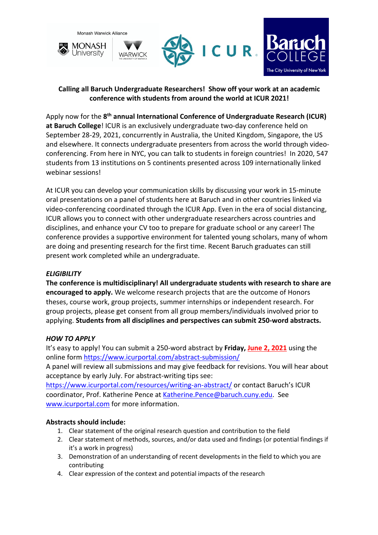

## **Calling all Baruch Undergraduate Researchers! Show off your work at an academic conference with students from around the world at ICUR 2021!**

Apply now for the **8th annual International Conference of Undergraduate Research (ICUR) at Baruch College**! ICUR is an exclusively undergraduate two-day conference held on September 28-29, 2021, concurrently in Australia, the United Kingdom, Singapore, the US and elsewhere. It connects undergraduate presenters from across the world through videoconferencing. From here in NYC, you can talk to students in foreign countries! In 2020, 547 students from 13 institutions on 5 continents presented across 109 internationally linked webinar sessions!

At ICUR you can develop your communication skills by discussing your work in 15-minute oral presentations on a panel of students here at Baruch and in other countries linked via video-conferencing coordinated through the ICUR App. Even in the era of social distancing, ICUR allows you to connect with other undergraduate researchers across countries and disciplines, and enhance your CV too to prepare for graduate school or any career! The conference provides a supportive environment for talented young scholars, many of whom are doing and presenting research for the first time. Recent Baruch graduates can still present work completed while an undergraduate.

## *ELIGIBILITY*

**The conference is multidisciplinary! All undergraduate students with research to share are encouraged to apply.** We welcome research projects that are the outcome of Honors theses, course work, group projects, summer internships or independent research. For group projects, please get consent from all group members/individuals involved prior to applying. **Students from all disciplines and perspectives can submit 250-word abstracts.** 

## *HOW TO APPLY*

It's easy to apply! You can submit a 250-word abstract by **Friday, June 2, 2021** using the online form https://www.icurportal.com/abstract-submission/

A panel will review all submissions and may give feedback for revisions. You will hear about acceptance by early July. For abstract-writing tips see:

https://www.icurportal.com/resources/writing-an-abstract/ or contact Baruch's ICUR coordinator, Prof. Katherine Pence at Katherine.Pence@baruch.cuny.edu. See www.icurportal.com for more information.

## **Abstracts should include:**

- 1. Clear statement of the original research question and contribution to the field
- 2. Clear statement of methods, sources, and/or data used and findings (or potential findings if it's a work in progress)
- 3. Demonstration of an understanding of recent developments in the field to which you are contributing
- 4. Clear expression of the context and potential impacts of the research